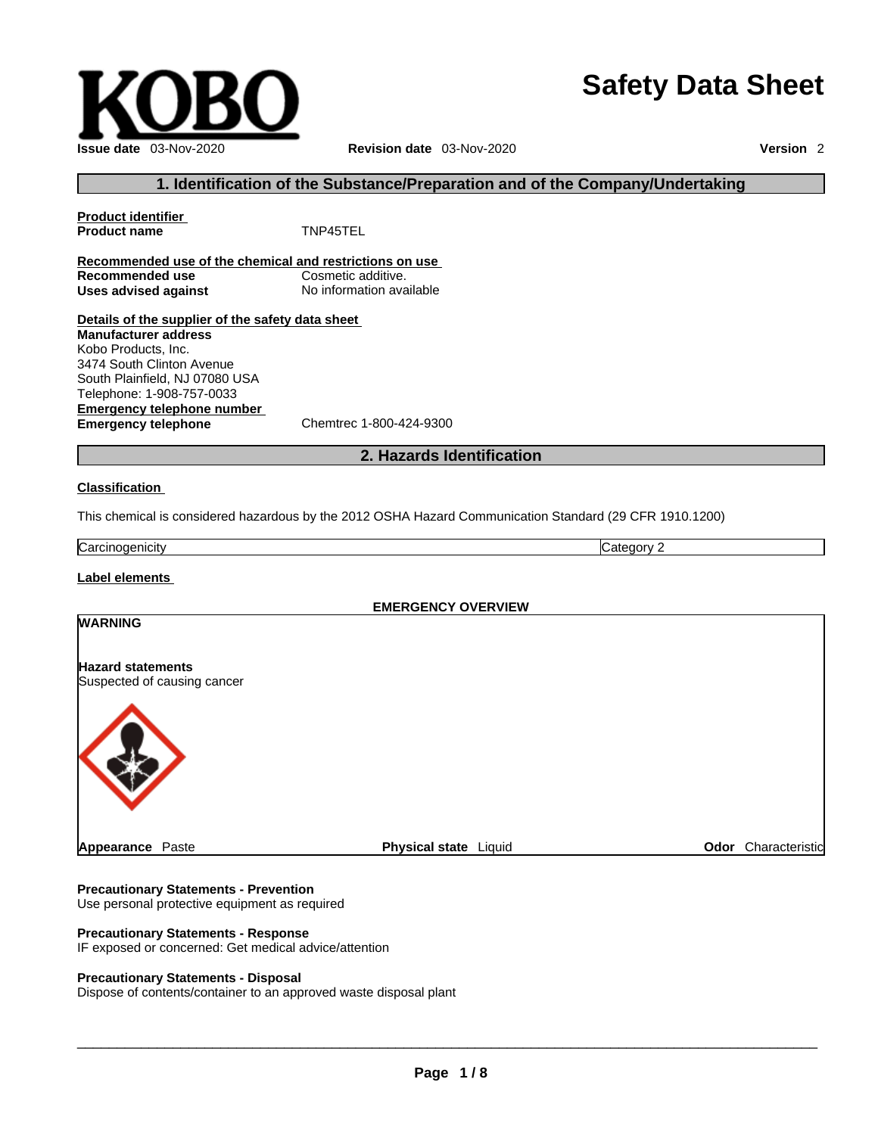# **Safety Data Sheet**



## **1. Identification of the Substance/Preparation and of the Company/Undertaking**

**Product identifier Product name** TNP45TEL **Recommended use of the chemical and restrictions on use Recommended use**<br> **Uses advised against**<br> **Uses advised against**<br> **No information available Uses** advised against **Details of the supplier of the safety data sheet Emergency telephone number**<br> **Emergency telephone**<br>
Chemtrec 1-800-424-9300 **Emergency telephone Manufacturer address** Kobo Products, Inc. 3474 South Clinton Avenue South Plainfield, NJ 07080 USA Telephone: 1-908-757-0033

## **2. Hazards Identification**

#### **Classification**

This chemical is considered hazardous by the 2012 OSHA Hazard Communication Standard (29 CFR 1910.1200)

Carcinogenicity Category 2

## **Label elements**

| <b>EMERGENCY OVERVIEW</b>   |                       |                        |  |
|-----------------------------|-----------------------|------------------------|--|
| <b>WARNING</b>              |                       |                        |  |
|                             |                       |                        |  |
| <b>Hazard statements</b>    |                       |                        |  |
| Suspected of causing cancer |                       |                        |  |
|                             |                       |                        |  |
| <b>Appearance Paste</b>     | Physical state Liquid | Characteristic<br>Odor |  |

#### **Precautionary Statements - Prevention**

Use personal protective equipment as required

## **Precautionary Statements - Response**

IF exposed or concerned: Get medical advice/attention

## **Precautionary Statements - Disposal**

Dispose of contents/container to an approved waste disposal plant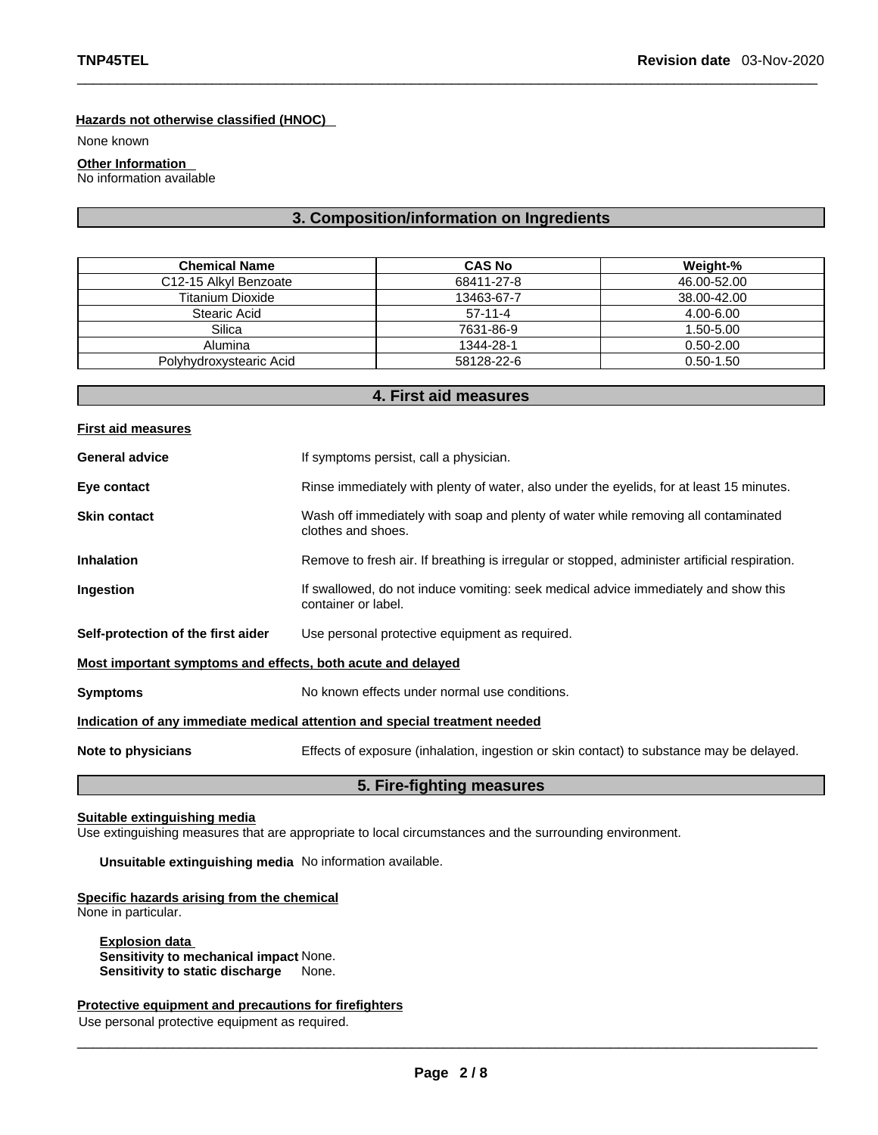## **Hazards not otherwise classified (HNOC)**

None known

## **Other Information**

No information available

## **3. Composition/information on Ingredients**

| <b>Chemical Name</b>               | <b>CAS No</b> | Weight-%      |
|------------------------------------|---------------|---------------|
| C <sub>12</sub> -15 Alkyl Benzoate | 68411-27-8    | 46.00-52.00   |
| Titanium Dioxide                   | 13463-67-7    | 38.00-42.00   |
| Stearic Acid                       | $57-11-4$     | 4.00-6.00     |
| Silica                             | 7631-86-9     | 1.50-5.00     |
| Alumina                            | 1344-28-1     | $0.50 - 2.00$ |
| Polyhydroxystearic Acid            | 58128-22-6    | $0.50 - 1.50$ |

## **4. First aid measures**

| <b>First aid measures</b>                                                  |                                                                                                            |  |  |
|----------------------------------------------------------------------------|------------------------------------------------------------------------------------------------------------|--|--|
| <b>General advice</b>                                                      | If symptoms persist, call a physician.                                                                     |  |  |
| Eye contact                                                                | Rinse immediately with plenty of water, also under the eyelids, for at least 15 minutes.                   |  |  |
| <b>Skin contact</b>                                                        | Wash off immediately with soap and plenty of water while removing all contaminated<br>clothes and shoes.   |  |  |
| <b>Inhalation</b>                                                          | Remove to fresh air. If breathing is irregular or stopped, administer artificial respiration.              |  |  |
| Ingestion                                                                  | If swallowed, do not induce vomiting: seek medical advice immediately and show this<br>container or label. |  |  |
| Self-protection of the first aider                                         | Use personal protective equipment as required.                                                             |  |  |
| Most important symptoms and effects, both acute and delayed                |                                                                                                            |  |  |
| <b>Symptoms</b>                                                            | No known effects under normal use conditions.                                                              |  |  |
| Indication of any immediate medical attention and special treatment needed |                                                                                                            |  |  |
| Note to physicians                                                         | Effects of exposure (inhalation, ingestion or skin contact) to substance may be delayed.                   |  |  |
|                                                                            |                                                                                                            |  |  |

## **5. Fire-fighting measures**

## **Suitable extinguishing media**

Use extinguishing measures that are appropriate to local circumstances and the surrounding environment.

## **Unsuitable extinguishing media** No information available.

## **Specific hazards arising from the chemical**

None in particular.

**Explosion data Sensitivity to mechanical impact** None. **Sensitivity to static discharge** None.

## **Protective equipment and precautions for firefighters**

Use personal protective equipment as required.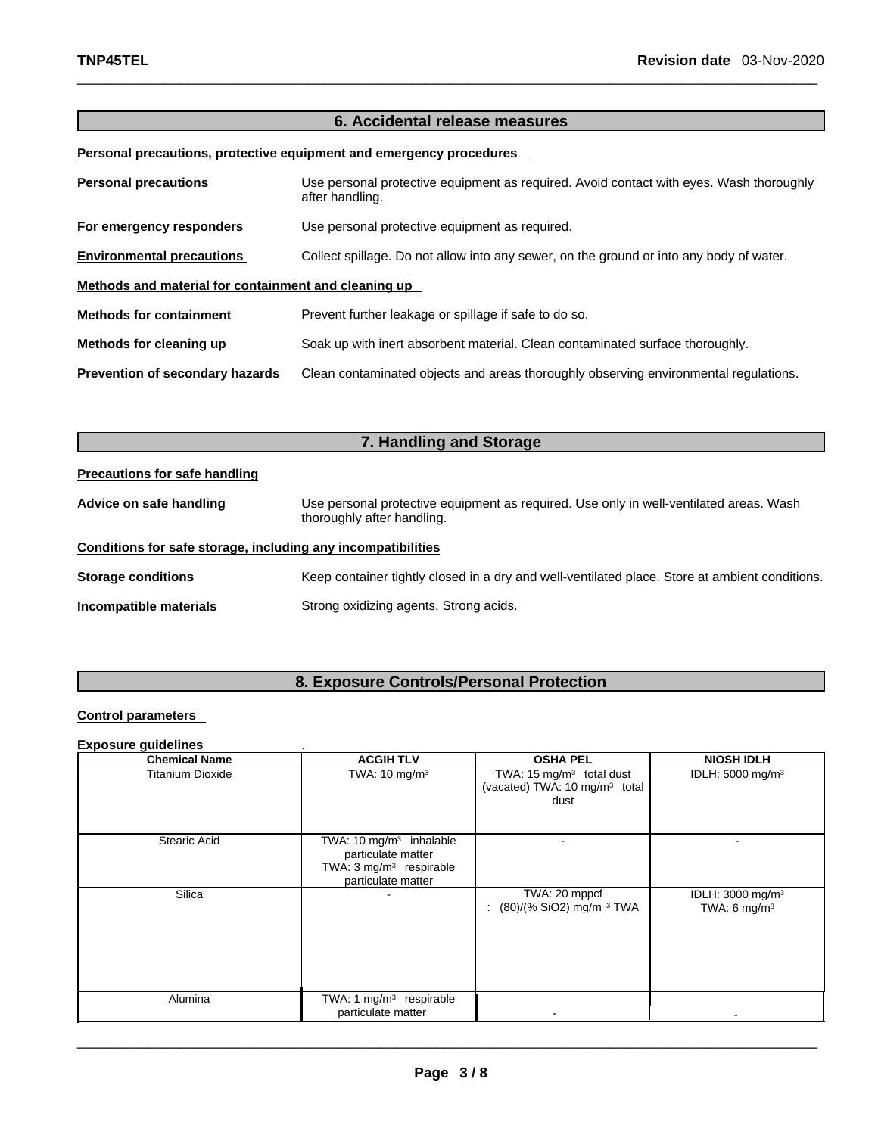## **6. Accidental release measures**

## **Personal precautions, protective equipment and emergency procedures**

| <b>Personal precautions</b>                          | Use personal protective equipment as required. Avoid contact with eyes. Wash thoroughly<br>after handling. |  |
|------------------------------------------------------|------------------------------------------------------------------------------------------------------------|--|
| For emergency responders                             | Use personal protective equipment as required.                                                             |  |
| <b>Environmental precautions</b>                     | Collect spillage. Do not allow into any sewer, on the ground or into any body of water.                    |  |
| Methods and material for containment and cleaning up |                                                                                                            |  |
| <b>Methods for containment</b>                       | Prevent further leakage or spillage if safe to do so.                                                      |  |
| Methods for cleaning up                              | Soak up with inert absorbent material. Clean contaminated surface thoroughly.                              |  |
| Prevention of secondary hazards                      | Clean contaminated objects and areas thoroughly observing environmental regulations.                       |  |

| 7. Handling and Storage                                      |                                                                                                                      |  |  |  |
|--------------------------------------------------------------|----------------------------------------------------------------------------------------------------------------------|--|--|--|
| <b>Precautions for safe handling</b>                         |                                                                                                                      |  |  |  |
| Advice on safe handling                                      | Use personal protective equipment as required. Use only in well-ventilated areas. Wash<br>thoroughly after handling. |  |  |  |
| Conditions for safe storage, including any incompatibilities |                                                                                                                      |  |  |  |
| <b>Storage conditions</b>                                    | Keep container tightly closed in a dry and well-ventilated place. Store at ambient conditions.                       |  |  |  |
| Incompatible materials                                       | Strong oxidizing agents. Strong acids.                                                                               |  |  |  |

## **8. Exposure Controls/Personal Protection**

## **Control parameters**

## **Exposure guidelines** .

| <b>Chemical Name</b>    | <b>ACGIH TLV</b>                                                                                                      | <b>OSHA PEL</b>                                                                  | <b>NIOSH IDLH</b>                              |
|-------------------------|-----------------------------------------------------------------------------------------------------------------------|----------------------------------------------------------------------------------|------------------------------------------------|
| <b>Titanium Dioxide</b> | TWA: $10 \text{ mg/m}^3$                                                                                              | TWA: 15 mg/m $3$ total dust<br>(vacated) TWA: 10 mg/m <sup>3</sup> total<br>dust | IDLH: 5000 mg/m <sup>3</sup>                   |
| Stearic Acid            | TWA: $10 \text{ mg/m}^3$ inhalable<br>particulate matter<br>TWA: 3 mg/m <sup>3</sup> respirable<br>particulate matter |                                                                                  |                                                |
| Silica                  |                                                                                                                       | TWA: 20 mppcf<br>(80)/(% SiO2) mg/m 3 TWA                                        | IDLH: $3000 \text{ mg/m}^3$<br>TWA: 6 mg/m $3$ |
| Alumina                 | TWA: 1 mg/m <sup>3</sup> respirable<br>particulate matter                                                             |                                                                                  |                                                |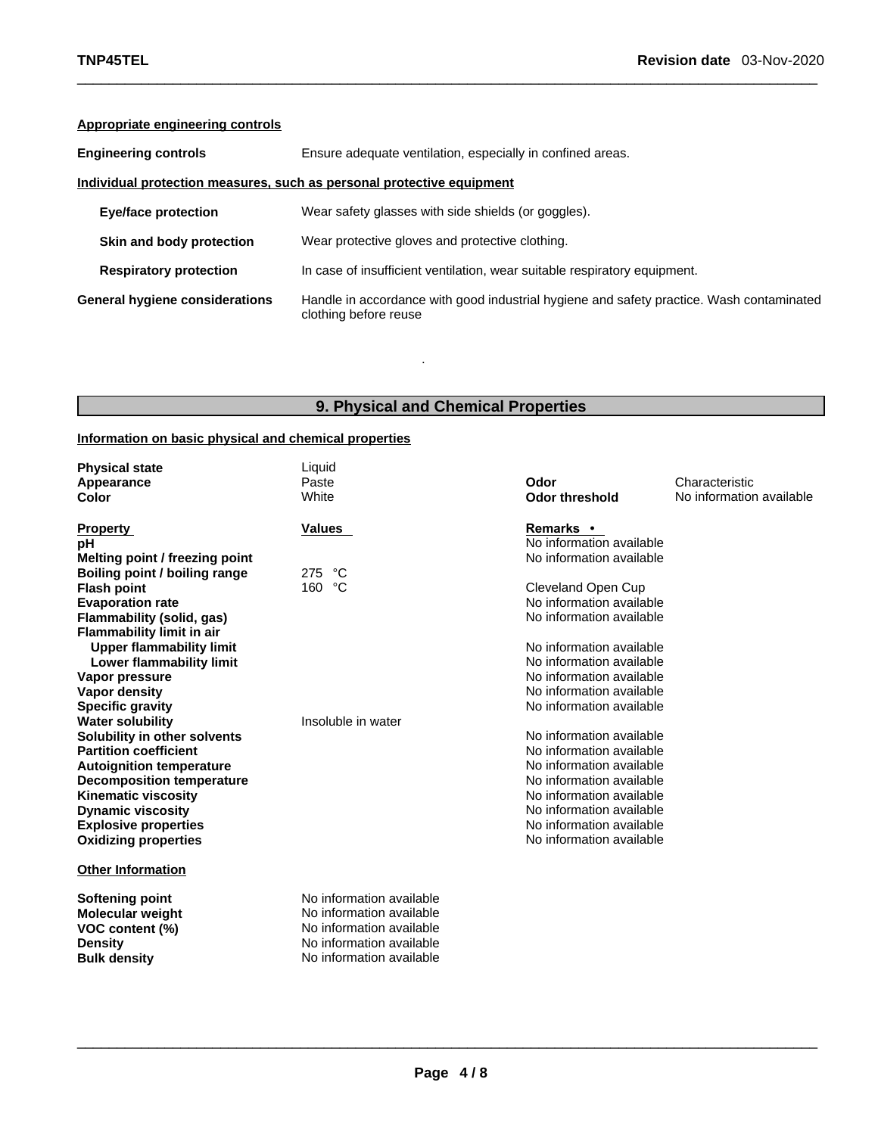## **Appropriate engineering controls**

| <b>Engineering controls</b>                                           | Ensure adequate ventilation, especially in confined areas.                                                        |  |  |
|-----------------------------------------------------------------------|-------------------------------------------------------------------------------------------------------------------|--|--|
| Individual protection measures, such as personal protective equipment |                                                                                                                   |  |  |
| <b>Eye/face protection</b>                                            | Wear safety glasses with side shields (or goggles).                                                               |  |  |
| Skin and body protection                                              | Wear protective gloves and protective clothing.                                                                   |  |  |
| <b>Respiratory protection</b>                                         | In case of insufficient ventilation, wear suitable respiratory equipment.                                         |  |  |
| General hygiene considerations                                        | Handle in accordance with good industrial hygiene and safety practice. Wash contaminated<br>clothing before reuse |  |  |

## **9. Physical and Chemical Properties**

.

## **Information on basic physical and chemical properties**

| <b>Physical state</b><br>Appearance<br>Color                                                                                                                                                                                                                                                                                                                                                                                                                                                                                                                                                                                             | Liquid<br>Paste<br>White                                                                                                                 | Odor<br><b>Odor threshold</b>                                                                                                                                                                                                                                                                                                                                                                                                                                                                                               | Characteristic<br>No information available |
|------------------------------------------------------------------------------------------------------------------------------------------------------------------------------------------------------------------------------------------------------------------------------------------------------------------------------------------------------------------------------------------------------------------------------------------------------------------------------------------------------------------------------------------------------------------------------------------------------------------------------------------|------------------------------------------------------------------------------------------------------------------------------------------|-----------------------------------------------------------------------------------------------------------------------------------------------------------------------------------------------------------------------------------------------------------------------------------------------------------------------------------------------------------------------------------------------------------------------------------------------------------------------------------------------------------------------------|--------------------------------------------|
| <b>Property</b><br>рH<br>Melting point / freezing point<br>Boiling point / boiling range<br><b>Flash point</b><br><b>Evaporation rate</b><br>Flammability (solid, gas)<br><b>Flammability limit in air</b><br><b>Upper flammability limit</b><br><b>Lower flammability limit</b><br>Vapor pressure<br>Vapor density<br><b>Specific gravity</b><br><b>Water solubility</b><br>Solubility in other solvents<br><b>Partition coefficient</b><br><b>Autoignition temperature</b><br><b>Decomposition temperature</b><br><b>Kinematic viscosity</b><br><b>Dynamic viscosity</b><br><b>Explosive properties</b><br><b>Oxidizing properties</b> | <b>Values</b><br>275<br>°C<br>160 °C<br>Insoluble in water                                                                               | Remarks •<br>No information available<br>No information available<br>Cleveland Open Cup<br>No information available<br>No information available<br>No information available<br>No information available<br>No information available<br>No information available<br>No information available<br>No information available<br>No information available<br>No information available<br>No information available<br>No information available<br>No information available<br>No information available<br>No information available |                                            |
| <b>Other Information</b><br><b>Softening point</b><br><b>Molecular weight</b><br>VOC content (%)<br><b>Density</b><br><b>Bulk density</b>                                                                                                                                                                                                                                                                                                                                                                                                                                                                                                | No information available<br>No information available<br>No information available<br>No information available<br>No information available |                                                                                                                                                                                                                                                                                                                                                                                                                                                                                                                             |                                            |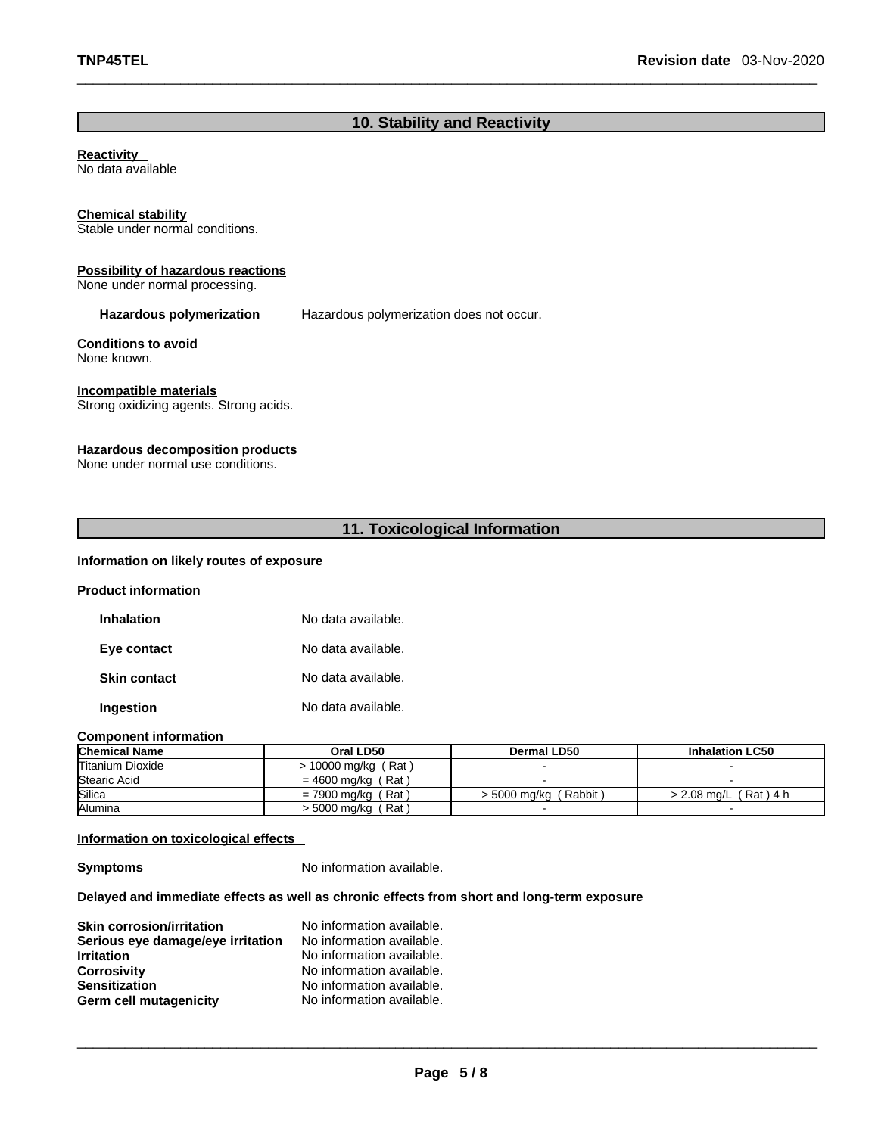## **10. Stability and Reactivity**

# **Reactivity Chemical stability** Stable under normal conditions. **Possibility of hazardous reactions** None under normal processing. **Hazardous polymerization** Hazardous polymerization does not occur. **Conditions to avoid** None known. **Incompatible materials** Strong oxidizing agents. Strong acids. **Hazardous decomposition products** None under normal use conditions. **11. Toxicological Information**  No data available

## **Information on likely routes of exposure**

| <b>Product information</b> |                    |
|----------------------------|--------------------|
| <b>Inhalation</b>          | No data available. |
| Eye contact                | No data available. |
| <b>Skin contact</b>        | No data available. |
| <b>Ingestion</b>           | No data available. |

## **Component information**

| <b>Chemical Name</b>    | Oral LD50            | Dermal LD50             | <b>Inhalation LC50</b>  |
|-------------------------|----------------------|-------------------------|-------------------------|
| <b>Titanium Dioxide</b> | > 10000 mg/kg (Rat)  |                         |                         |
| <b>Stearic Acid</b>     | $= 4600$ ma/ka (Rat) |                         |                         |
| Silica                  | $= 7900$ mg/kg (Rat) | $>$ 5000 mg/kg (Rabbit) | $> 2.08$ ma/L (Rat) 4 h |
| <b>Alumina</b>          | $>$ 5000 mg/kg (Rat) |                         |                         |

## **Information on toxicological effects**

**Symptoms** No information available.

## **Delayed and immediate effects as well as chronic effects from short and long-term exposure**

| <b>Skin corrosion/irritation</b>  | No information available. |
|-----------------------------------|---------------------------|
| Serious eye damage/eye irritation | No information available. |
| <b>Irritation</b>                 | No information available. |
| <b>Corrosivity</b>                | No information available. |
| <b>Sensitization</b>              | No information available. |
| Germ cell mutagenicity            | No information available. |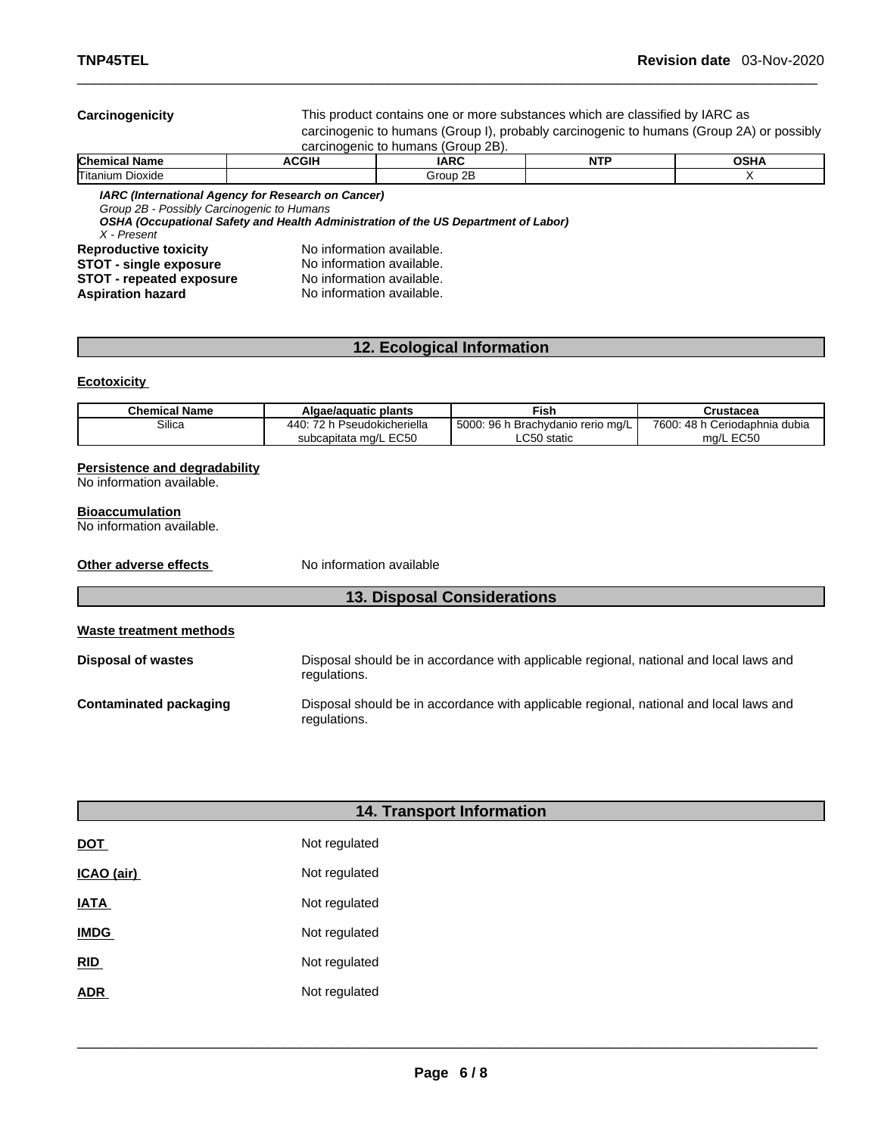carcinogenic to humans (Group I), probably carcinogenic to humans (Group 2A) or possibly **Carcinogenicity** This product contains one ormore substances which are classified by IARC as

| carcinogenic to humans (Group 2B). |  |  |
|------------------------------------|--|--|
|                                    |  |  |

| <b>Chen</b><br>alam.      | 200<br>. . | <b>IADC</b>                           | <b>NTP</b><br>. | . |
|---------------------------|------------|---------------------------------------|-----------------|---|
| -<br>'Utanıun.<br>Dioxide |            | or.<br>$\ddot{\phantom{1}}$<br>m<br>- |                 |   |

*IARC (International Agency for Research on Cancer)*

*Group 2B - Possibly Carcinogenic to Humans* 

*OSHA (Occupational Safety and Health Administration of the US Department of Labor)*

| X - Present |  |                       |  |
|-------------|--|-----------------------|--|
|             |  | Reproductive toxicity |  |
|             |  |                       |  |

**No information available. STOT** - **single exposure** No information available.<br>**STOT** - **repeated exposure** No information available. **STOT** - repeated exposure **Aspiration hazard** No information available.

## **12. Ecological Information**

## **Ecotoxicity**

| <b>Chemical Name</b> | Algae/aguatic plants          | Fish                              | Crustacea                     |
|----------------------|-------------------------------|-----------------------------------|-------------------------------|
| Silica               | 440<br>72 h Pseudokicheriella | 5000: 96 h Brachydanio rerio mg/L | 7600: 48 h Ceriodaphnia dubia |
|                      | subcapitata mg/L EC50         | ∟C50 static                       | ma/L EC50                     |

### **Persistence and degradability**

No information available.

## **Bioaccumulation**

No information available.

**Other adverse effects** No information available

## **13. Disposal Considerations**

## **Waste treatment methods**

| <b>Disposal of wastes</b> | Disposal should be in accordance with applicable regional, national and local laws and<br>regulations. |
|---------------------------|--------------------------------------------------------------------------------------------------------|
| Contaminated packaging    | Disposal should be in accordance with applicable regional, national and local laws and<br>regulations. |

| <b>14. Transport Information</b> |
|----------------------------------|
| Not regulated                    |
| Not regulated                    |
| Not regulated                    |
| Not regulated                    |
| Not regulated                    |
| Not regulated                    |
|                                  |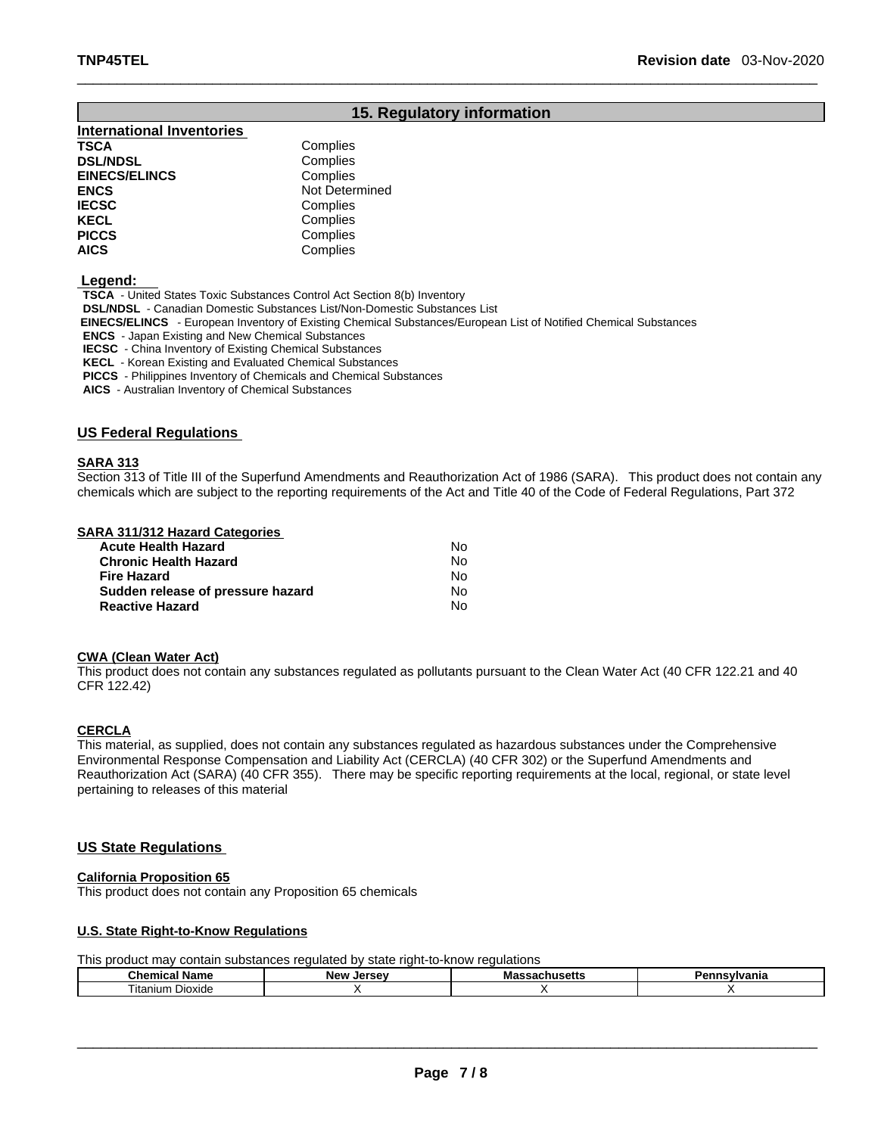## **15. Regulatory information**

| <b>International Inventories</b> |                |
|----------------------------------|----------------|
| <b>TSCA</b>                      | Complies       |
| <b>DSL/NDSL</b>                  | Complies       |
| <b>EINECS/ELINCS</b>             | Complies       |
| <b>ENCS</b>                      | Not Determined |
| <b>IECSC</b>                     | Complies       |
| <b>KECL</b>                      | Complies       |
| <b>PICCS</b>                     | Complies       |
| <b>AICS</b>                      | Complies       |

 **Legend:** 

**TSCA** - United States Toxic Substances Control Act Section 8(b) Inventory **DSL/NDSL** - Canadian Domestic Substances List/Non-Domestic Substances List  **EINECS/ELINCS** - European Inventory of Existing Chemical Substances/European List of Notified Chemical Substances

**ENCS** - Japan Existing and New Chemical Substances

**IECSC** - China Inventory of Existing Chemical Substances

**KECL** - Korean Existing and Evaluated Chemical Substances

**PICCS** - Philippines Inventory of Chemicals and Chemical Substances

**AICS** - Australian Inventory of Chemical Substances

## **US Federal Regulations**

## **SARA 313**

Section 313 of Title III of the Superfund Amendments and Reauthorization Act of 1986 (SARA). This product does not contain any chemicals which are subject to the reporting requirements of the Act and Title 40 of the Code of Federal Regulations, Part 372

### **SARA 311/312 Hazard Categories**

| <b>Acute Health Hazard</b>        | N٥ |  |
|-----------------------------------|----|--|
| <b>Chronic Health Hazard</b>      | N٥ |  |
| <b>Fire Hazard</b>                | N٥ |  |
| Sudden release of pressure hazard | N٥ |  |
| <b>Reactive Hazard</b>            | No |  |

#### **CWA (Clean WaterAct)**

This product does not contain any substances regulated as pollutants pursuant to the Clean Water Act (40 CFR 122.21 and 40 CFR 122.42)

## **CERCLA**

This material, as supplied, does not contain any substances regulated as hazardous substances under the Comprehensive Environmental Response Compensation and Liability Act (CERCLA) (40 CFR 302) or the Superfund Amendments and Reauthorization Act (SARA) (40 CFR 355). There may be specific reporting requirements at the local, regional, or state level pertaining to releases of this material

## **US State Regulations**

#### **California Proposition 65**

This product does not contain any Proposition 65 chemicals

## **U.S. State Right-to-Know Regulations**

This product may contain substances regulated by state right-to-know regulations

|                      | <b>New</b> | IVI 6 | vania |
|----------------------|------------|-------|-------|
| Name                 | Jersev     | lətur |       |
| ⊣tanıum<br>n Dioxide |            |       |       |